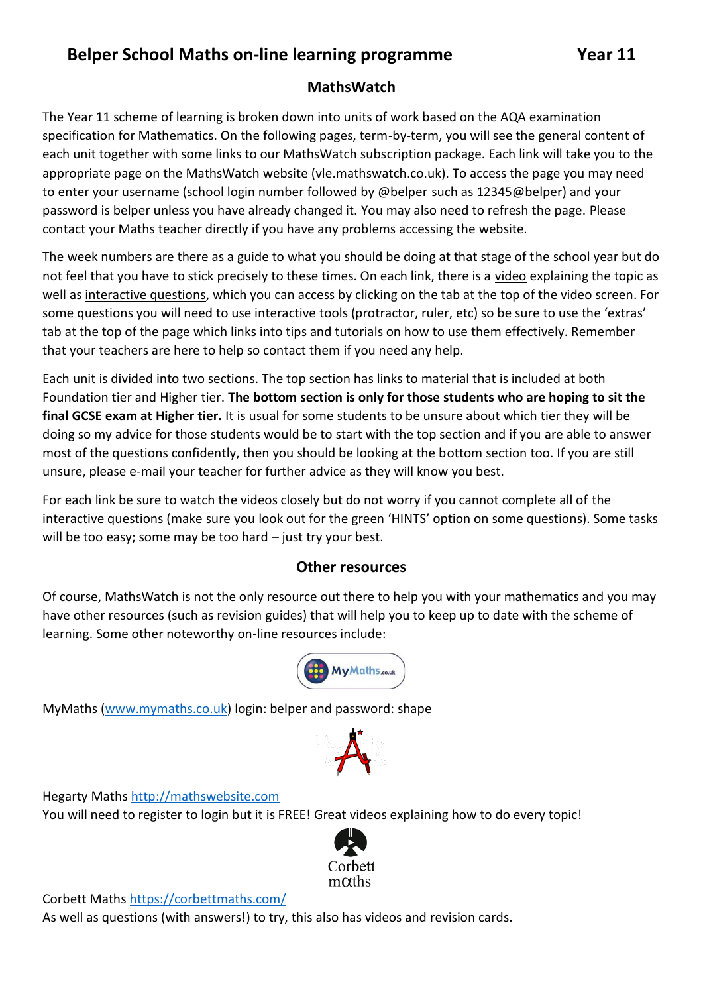## **Belper School Maths on-line learning programme Year 11**

## **MathsWatch**

The Year 11 scheme of learning is broken down into units of work based on the AQA examination specification for Mathematics. On the following pages, term-by-term, you will see the general content of each unit together with some links to our MathsWatch subscription package. Each link will take you to the appropriate page on the MathsWatch website (vle.mathswatch.co.uk). To access the page you may need to enter your username (school login number followed by @belper such as 12345@belper) and your password is belper unless you have already changed it. You may also need to refresh the page. Please contact your Maths teacher directly if you have any problems accessing the website.

The week numbers are there as a guide to what you should be doing at that stage of the school year but do not feel that you have to stick precisely to these times. On each link, there is a video explaining the topic as well as interactive questions, which you can access by clicking on the tab at the top of the video screen. For some questions you will need to use interactive tools (protractor, ruler, etc) so be sure to use the 'extras' tab at the top of the page which links into tips and tutorials on how to use them effectively. Remember that your teachers are here to help so contact them if you need any help.

Each unit is divided into two sections. The top section has links to material that is included at both Foundation tier and Higher tier. **The bottom section is only for those students who are hoping to sit the final GCSE exam at Higher tier.** It is usual for some students to be unsure about which tier they will be doing so my advice for those students would be to start with the top section and if you are able to answer most of the questions confidently, then you should be looking at the bottom section too. If you are still unsure, please e-mail your teacher for further advice as they will know you best.

For each link be sure to watch the videos closely but do not worry if you cannot complete all of the interactive questions (make sure you look out for the green 'HINTS' option on some questions). Some tasks will be too easy; some may be too hard – just try your best.

## **Other resources**

Of course, MathsWatch is not the only resource out there to help you with your mathematics and you may have other resources (such as revision guides) that will help you to keep up to date with the scheme of learning. Some other noteworthy on-line resources include:



MyMaths [\(www.mymaths.co.uk\)](http://www.mymaths.co.uk/) login: belper and password: shape



Hegarty Maths [http://mathswebsite.com](http://mathswebsite.com/)

You will need to register to login but it is FREE! Great videos explaining how to do every topic!



Corbett Math[s https://corbettmaths.com/](https://corbettmaths.com/)

As well as questions (with answers!) to try, this also has videos and revision cards.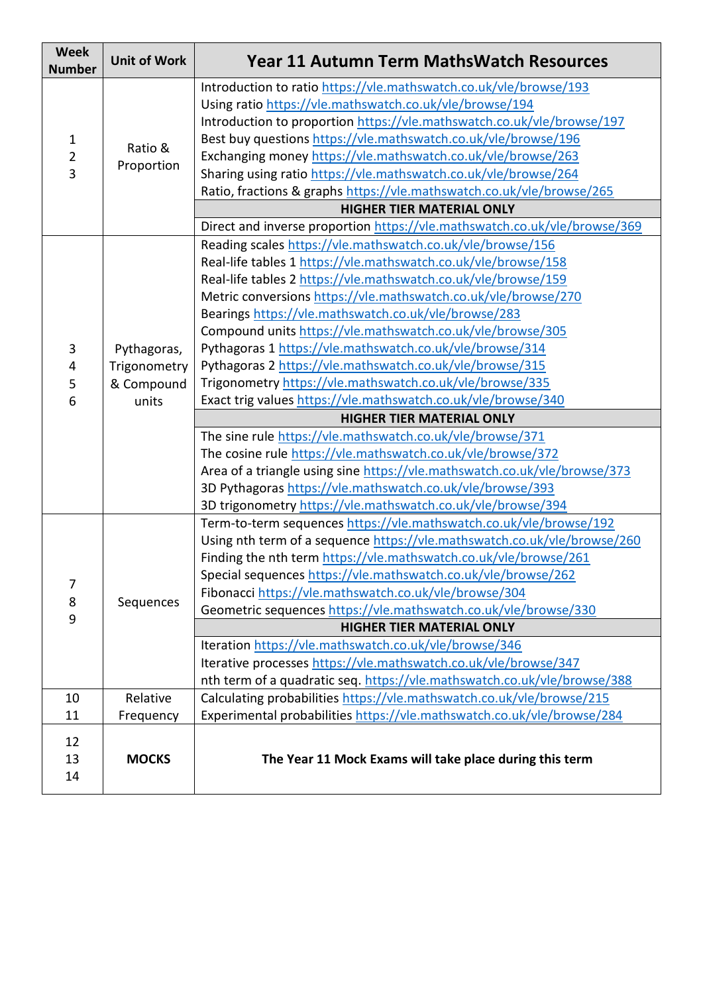| <b>Week</b><br><b>Number</b>        | <b>Unit of Work</b>   | <b>Year 11 Autumn Term MathsWatch Resources</b>                           |
|-------------------------------------|-----------------------|---------------------------------------------------------------------------|
| $\mathbf{1}$<br>$\overline{2}$<br>3 | Ratio &<br>Proportion | Introduction to ratio https://vle.mathswatch.co.uk/vle/browse/193         |
|                                     |                       | Using ratio https://vle.mathswatch.co.uk/vle/browse/194                   |
|                                     |                       | Introduction to proportion https://vle.mathswatch.co.uk/vle/browse/197    |
|                                     |                       | Best buy questions https://vle.mathswatch.co.uk/vle/browse/196            |
|                                     |                       | Exchanging money https://vle.mathswatch.co.uk/vle/browse/263              |
|                                     |                       | Sharing using ratio https://vle.mathswatch.co.uk/vle/browse/264           |
|                                     |                       | Ratio, fractions & graphs https://vle.mathswatch.co.uk/vle/browse/265     |
|                                     |                       | <b>HIGHER TIER MATERIAL ONLY</b>                                          |
|                                     |                       | Direct and inverse proportion https://vle.mathswatch.co.uk/vle/browse/369 |
|                                     | Pythagoras,           | Reading scales https://vle.mathswatch.co.uk/vle/browse/156                |
|                                     |                       | Real-life tables 1 https://vle.mathswatch.co.uk/vle/browse/158            |
|                                     |                       | Real-life tables 2 https://vle.mathswatch.co.uk/vle/browse/159            |
|                                     |                       | Metric conversions https://vle.mathswatch.co.uk/vle/browse/270            |
|                                     |                       | Bearings https://vle.mathswatch.co.uk/vle/browse/283                      |
|                                     |                       | Compound units https://vle.mathswatch.co.uk/vle/browse/305                |
| 3                                   |                       | Pythagoras 1 https://vle.mathswatch.co.uk/vle/browse/314                  |
| 4                                   | Trigonometry          | Pythagoras 2 https://vle.mathswatch.co.uk/vle/browse/315                  |
| 5                                   | & Compound            | Trigonometry https://vle.mathswatch.co.uk/vle/browse/335                  |
| 6                                   | units                 | Exact trig values https://vle.mathswatch.co.uk/vle/browse/340             |
|                                     |                       | <b>HIGHER TIER MATERIAL ONLY</b>                                          |
|                                     |                       | The sine rule https://vle.mathswatch.co.uk/vle/browse/371                 |
|                                     |                       | The cosine rule https://vle.mathswatch.co.uk/vle/browse/372               |
|                                     |                       | Area of a triangle using sine https://vle.mathswatch.co.uk/vle/browse/373 |
|                                     |                       | 3D Pythagoras https://vle.mathswatch.co.uk/vle/browse/393                 |
|                                     |                       | 3D trigonometry https://vle.mathswatch.co.uk/vle/browse/394               |
|                                     | Sequences             | Term-to-term sequences https://vle.mathswatch.co.uk/vle/browse/192        |
|                                     |                       | Using nth term of a sequence https://vle.mathswatch.co.uk/vle/browse/260  |
|                                     |                       | Finding the nth term https://vle.mathswatch.co.uk/vle/browse/261          |
| 7                                   |                       | Special sequences https://vle.mathswatch.co.uk/vle/browse/262             |
| 8                                   |                       | Fibonacci https://vle.mathswatch.co.uk/vle/browse/304                     |
| 9                                   |                       | Geometric sequences https://vle.mathswatch.co.uk/vle/browse/330           |
|                                     |                       | <b>HIGHER TIER MATERIAL ONLY</b>                                          |
|                                     |                       | Iteration https://vle.mathswatch.co.uk/vle/browse/346                     |
|                                     |                       | Iterative processes https://vle.mathswatch.co.uk/vle/browse/347           |
|                                     |                       | nth term of a quadratic seq. https://vle.mathswatch.co.uk/vle/browse/388  |
| 10                                  | Relative              | Calculating probabilities https://vle.mathswatch.co.uk/vle/browse/215     |
| 11                                  | Frequency             | Experimental probabilities https://vle.mathswatch.co.uk/vle/browse/284    |
| 12<br>13<br>14                      | <b>MOCKS</b>          | The Year 11 Mock Exams will take place during this term                   |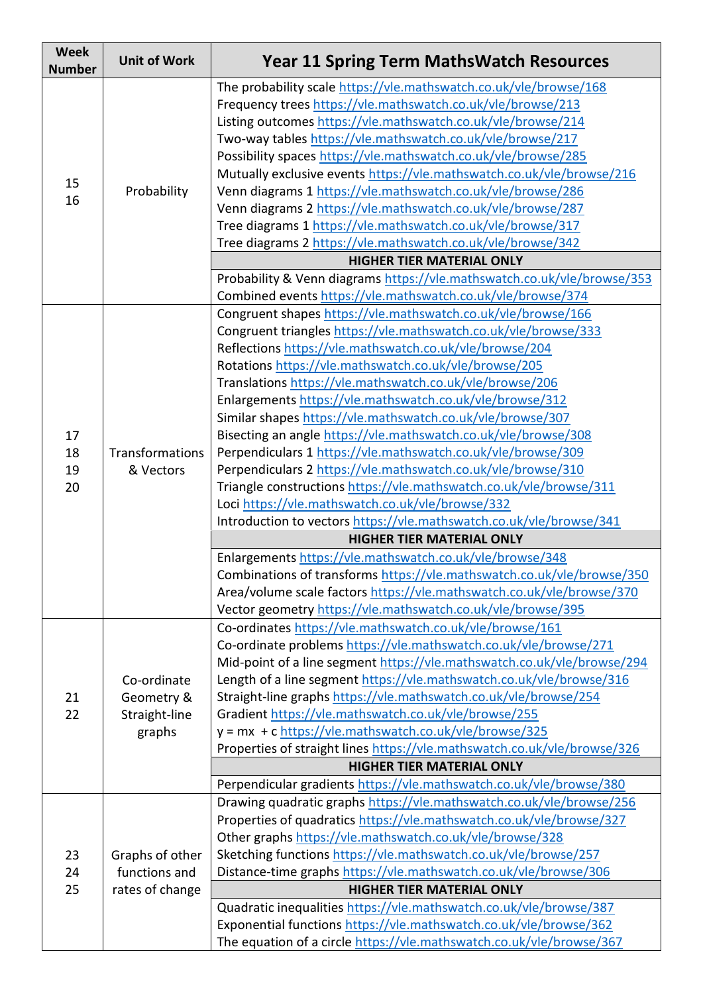| <b>Week</b><br><b>Number</b> | <b>Unit of Work</b>                                  | <b>Year 11 Spring Term MathsWatch Resources</b>                                                                                                                                                     |
|------------------------------|------------------------------------------------------|-----------------------------------------------------------------------------------------------------------------------------------------------------------------------------------------------------|
| 15<br>16                     | Probability                                          | The probability scale https://vle.mathswatch.co.uk/vle/browse/168<br>Frequency trees https://vle.mathswatch.co.uk/vle/browse/213<br>Listing outcomes https://vle.mathswatch.co.uk/vle/browse/214    |
|                              |                                                      | Two-way tables https://vle.mathswatch.co.uk/vle/browse/217<br>Possibility spaces https://vle.mathswatch.co.uk/vle/browse/285                                                                        |
|                              |                                                      | Mutually exclusive events https://vle.mathswatch.co.uk/vle/browse/216<br>Venn diagrams 1 https://vle.mathswatch.co.uk/vle/browse/286<br>Venn diagrams 2 https://vle.mathswatch.co.uk/vle/browse/287 |
|                              |                                                      | Tree diagrams 1 https://vle.mathswatch.co.uk/vle/browse/317<br>Tree diagrams 2 https://vle.mathswatch.co.uk/vle/browse/342                                                                          |
|                              |                                                      | <b>HIGHER TIER MATERIAL ONLY</b>                                                                                                                                                                    |
|                              |                                                      | Probability & Venn diagrams https://vle.mathswatch.co.uk/vle/browse/353<br>Combined events https://vle.mathswatch.co.uk/vle/browse/374                                                              |
|                              |                                                      | Congruent shapes https://vle.mathswatch.co.uk/vle/browse/166                                                                                                                                        |
|                              |                                                      | Congruent triangles https://vle.mathswatch.co.uk/vle/browse/333                                                                                                                                     |
|                              |                                                      | Reflections https://vle.mathswatch.co.uk/vle/browse/204                                                                                                                                             |
|                              |                                                      | Rotations https://vle.mathswatch.co.uk/vle/browse/205                                                                                                                                               |
|                              |                                                      | Translations https://vle.mathswatch.co.uk/vle/browse/206                                                                                                                                            |
|                              |                                                      | Enlargements https://vle.mathswatch.co.uk/vle/browse/312                                                                                                                                            |
|                              |                                                      | Similar shapes https://vle.mathswatch.co.uk/vle/browse/307                                                                                                                                          |
| 17                           |                                                      | Bisecting an angle https://vle.mathswatch.co.uk/vle/browse/308                                                                                                                                      |
| 18                           | Transformations                                      | Perpendiculars 1 https://vle.mathswatch.co.uk/vle/browse/309                                                                                                                                        |
| 19                           | & Vectors                                            | Perpendiculars 2 https://vle.mathswatch.co.uk/vle/browse/310                                                                                                                                        |
| 20                           |                                                      | Triangle constructions https://vle.mathswatch.co.uk/vle/browse/311                                                                                                                                  |
|                              |                                                      | Loci https://vle.mathswatch.co.uk/vle/browse/332                                                                                                                                                    |
|                              |                                                      | Introduction to vectors https://vle.mathswatch.co.uk/vle/browse/341                                                                                                                                 |
|                              |                                                      | <b>HIGHER TIER MATERIAL ONLY</b>                                                                                                                                                                    |
|                              |                                                      | Enlargements https://vle.mathswatch.co.uk/vle/browse/348                                                                                                                                            |
|                              |                                                      | Combinations of transforms https://vle.mathswatch.co.uk/vle/browse/350                                                                                                                              |
|                              |                                                      | Area/volume scale factors https://vle.mathswatch.co.uk/vle/browse/370                                                                                                                               |
|                              |                                                      | Vector geometry https://vle.mathswatch.co.uk/vle/browse/395                                                                                                                                         |
|                              | Co-ordinate<br>Geometry &<br>Straight-line<br>graphs | Co-ordinates https://vle.mathswatch.co.uk/vle/browse/161                                                                                                                                            |
|                              |                                                      | Co-ordinate problems https://vle.mathswatch.co.uk/vle/browse/271                                                                                                                                    |
|                              |                                                      | Mid-point of a line segment https://vle.mathswatch.co.uk/vle/browse/294                                                                                                                             |
| 21<br>22                     |                                                      | Length of a line segment https://vle.mathswatch.co.uk/vle/browse/316<br>Straight-line graphs https://vle.mathswatch.co.uk/vle/browse/254                                                            |
|                              |                                                      | Gradient https://vle.mathswatch.co.uk/vle/browse/255                                                                                                                                                |
|                              |                                                      | y = mx + c https://vle.mathswatch.co.uk/vle/browse/325                                                                                                                                              |
|                              |                                                      | Properties of straight lines https://vle.mathswatch.co.uk/vle/browse/326                                                                                                                            |
|                              |                                                      | <b>HIGHER TIER MATERIAL ONLY</b>                                                                                                                                                                    |
|                              |                                                      | Perpendicular gradients https://vle.mathswatch.co.uk/vle/browse/380                                                                                                                                 |
|                              |                                                      | Drawing quadratic graphs https://vle.mathswatch.co.uk/vle/browse/256                                                                                                                                |
|                              |                                                      | Properties of quadratics https://vle.mathswatch.co.uk/vle/browse/327                                                                                                                                |
|                              |                                                      | Other graphs https://vle.mathswatch.co.uk/vle/browse/328                                                                                                                                            |
| 23                           | Graphs of other                                      | Sketching functions https://vle.mathswatch.co.uk/vle/browse/257                                                                                                                                     |
| 24                           | functions and                                        | Distance-time graphs https://vle.mathswatch.co.uk/vle/browse/306                                                                                                                                    |
| 25                           | rates of change                                      | <b>HIGHER TIER MATERIAL ONLY</b>                                                                                                                                                                    |
|                              |                                                      | Quadratic inequalities https://vle.mathswatch.co.uk/vle/browse/387                                                                                                                                  |
|                              |                                                      | Exponential functions https://vle.mathswatch.co.uk/vle/browse/362                                                                                                                                   |
|                              |                                                      | The equation of a circle https://vle.mathswatch.co.uk/vle/browse/367                                                                                                                                |